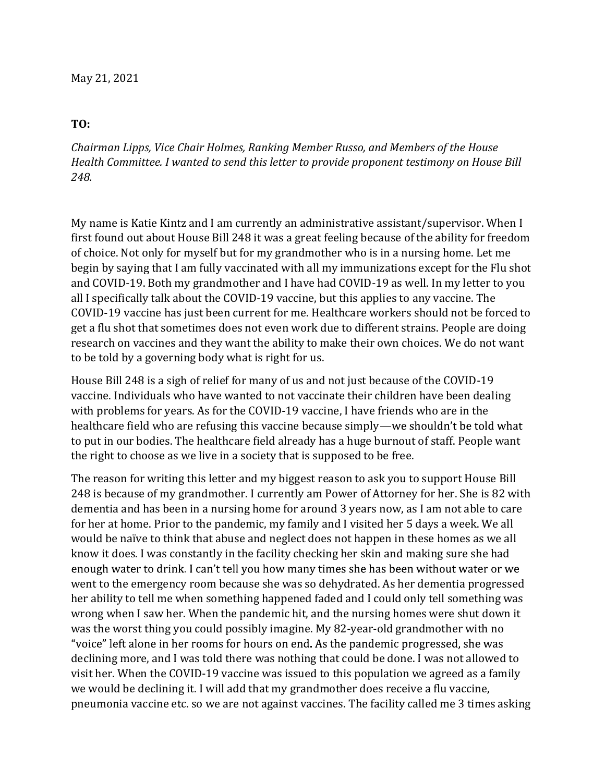## TO:

Chairman Lipps, Vice Chair Holmes, Ranking Member Russo, and Members of the House Health Committee. I wanted to send this letter to provide proponent testimony on House Bill 248.

My name is Katie Kintz and I am currently an administrative assistant/supervisor. When I first found out about House Bill 248 it was a great feeling because of the ability for freedom of choice. Not only for myself but for my grandmother who is in a nursing home. Let me begin by saying that I am fully vaccinated with all my immunizations except for the Flu shot and COVID-19. Both my grandmother and I have had COVID-19 as well. In my letter to you all I specifically talk about the COVID-19 vaccine, but this applies to any vaccine. The COVID-19 vaccine has just been current for me. Healthcare workers should not be forced to get a flu shot that sometimes does not even work due to different strains. People are doing research on vaccines and they want the ability to make their own choices. We do not want to be told by a governing body what is right for us.

House Bill 248 is a sigh of relief for many of us and not just because of the COVID-19 vaccine. Individuals who have wanted to not vaccinate their children have been dealing with problems for years. As for the COVID-19 vaccine, I have friends who are in the healthcare field who are refusing this vaccine because simply—we shouldn't be told what to put in our bodies. The healthcare field already has a huge burnout of staff. People want the right to choose as we live in a society that is supposed to be free.

The reason for writing this letter and my biggest reason to ask you to support House Bill 248 is because of my grandmother. I currently am Power of Attorney for her. She is 82 with dementia and has been in a nursing home for around 3 years now, as I am not able to care for her at home. Prior to the pandemic, my family and I visited her 5 days a week. We all would be naïve to think that abuse and neglect does not happen in these homes as we all know it does. I was constantly in the facility checking her skin and making sure she had enough water to drink. I can't tell you how many times she has been without water or we went to the emergency room because she was so dehydrated. As her dementia progressed her ability to tell me when something happened faded and I could only tell something was wrong when I saw her. When the pandemic hit, and the nursing homes were shut down it was the worst thing you could possibly imagine. My 82-year-old grandmother with no "voice" left alone in her rooms for hours on end. As the pandemic progressed, she was declining more, and I was told there was nothing that could be done. I was not allowed to visit her. When the COVID-19 vaccine was issued to this population we agreed as a family we would be declining it. I will add that my grandmother does receive a flu vaccine, pneumonia vaccine etc. so we are not against vaccines. The facility called me 3 times asking